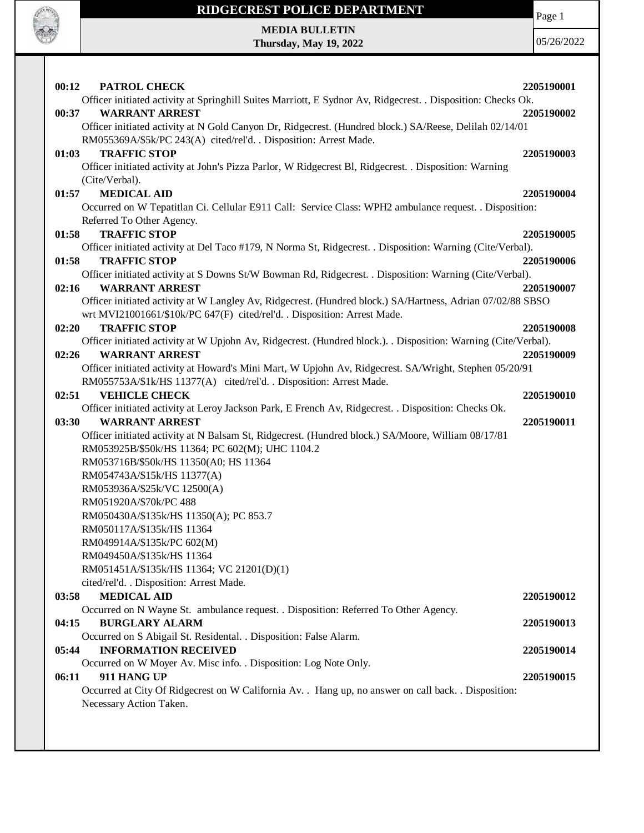

Page 1

**MEDIA BULLETIN Thursday, May 19, 2022**

| 00:12<br>PATROL CHECK                                                                                                            | 2205190001 |
|----------------------------------------------------------------------------------------------------------------------------------|------------|
| Officer initiated activity at Springhill Suites Marriott, E Sydnor Av, Ridgecrest. . Disposition: Checks Ok.                     |            |
| <b>WARRANT ARREST</b><br>00:37                                                                                                   | 2205190002 |
| Officer initiated activity at N Gold Canyon Dr, Ridgecrest. (Hundred block.) SA/Reese, Delilah 02/14/01                          |            |
| RM055369A/\$5k/PC 243(A) cited/rel'd. . Disposition: Arrest Made.                                                                |            |
| 01:03<br><b>TRAFFIC STOP</b>                                                                                                     | 2205190003 |
| Officer initiated activity at John's Pizza Parlor, W Ridgecrest Bl, Ridgecrest. . Disposition: Warning                           |            |
| (Cite/Verbal).                                                                                                                   |            |
| <b>MEDICAL AID</b><br>01:57                                                                                                      | 2205190004 |
| Occurred on W Tepatitlan Ci. Cellular E911 Call: Service Class: WPH2 ambulance request. . Disposition:                           |            |
| Referred To Other Agency.                                                                                                        |            |
| <b>TRAFFIC STOP</b><br>01:58                                                                                                     | 2205190005 |
| Officer initiated activity at Del Taco #179, N Norma St, Ridgecrest. . Disposition: Warning (Cite/Verbal).                       |            |
| <b>TRAFFIC STOP</b><br>01:58                                                                                                     | 2205190006 |
| Officer initiated activity at S Downs St/W Bowman Rd, Ridgecrest. . Disposition: Warning (Cite/Verbal).<br><b>WARRANT ARREST</b> |            |
| 02:16<br>Officer initiated activity at W Langley Av, Ridgecrest. (Hundred block.) SA/Hartness, Adrian 07/02/88 SBSO              | 2205190007 |
| wrt MVI21001661/\$10k/PC 647(F) cited/rel'd. . Disposition: Arrest Made.                                                         |            |
| <b>TRAFFIC STOP</b><br>02:20                                                                                                     | 2205190008 |
| Officer initiated activity at W Upjohn Av, Ridgecrest. (Hundred block.). Disposition: Warning (Cite/Verbal).                     |            |
| <b>WARRANT ARREST</b><br>02:26                                                                                                   | 2205190009 |
| Officer initiated activity at Howard's Mini Mart, W Upjohn Av, Ridgecrest. SA/Wright, Stephen 05/20/91                           |            |
| RM055753A/\$1k/HS 11377(A) cited/rel'd. . Disposition: Arrest Made.                                                              |            |
| 02:51<br><b>VEHICLE CHECK</b>                                                                                                    | 2205190010 |
| Officer initiated activity at Leroy Jackson Park, E French Av, Ridgecrest. . Disposition: Checks Ok.                             |            |
| <b>WARRANT ARREST</b><br>03:30                                                                                                   | 2205190011 |
| Officer initiated activity at N Balsam St, Ridgecrest. (Hundred block.) SA/Moore, William 08/17/81                               |            |
| RM053925B/\$50k/HS 11364; PC 602(M); UHC 1104.2                                                                                  |            |
| RM053716B/\$50k/HS 11350(A0; HS 11364                                                                                            |            |
| RM054743A/\$15k/HS 11377(A)                                                                                                      |            |
| RM053936A/\$25k/VC 12500(A)                                                                                                      |            |
| RM051920A/\$70k/PC 488                                                                                                           |            |
| RM050430A/\$135k/HS 11350(A); PC 853.7                                                                                           |            |
| RM050117A/\$135k/HS 11364                                                                                                        |            |
| RM049914A/\$135k/PC 602(M)<br>RM049450A/\$135k/HS 11364                                                                          |            |
| RM051451A/\$135k/HS 11364; VC 21201(D)(1)                                                                                        |            |
| cited/rel'd. . Disposition: Arrest Made.                                                                                         |            |
| <b>MEDICAL AID</b><br>03:58                                                                                                      | 2205190012 |
| Occurred on N Wayne St. ambulance request. . Disposition: Referred To Other Agency.                                              |            |
| <b>BURGLARY ALARM</b><br>04:15                                                                                                   | 2205190013 |
| Occurred on S Abigail St. Residental. . Disposition: False Alarm.                                                                |            |
| <b>INFORMATION RECEIVED</b><br>05:44                                                                                             | 2205190014 |
| Occurred on W Moyer Av. Misc info. . Disposition: Log Note Only.                                                                 |            |
| 06:11<br>911 HANG UP                                                                                                             | 2205190015 |
| Occurred at City Of Ridgecrest on W California Av. . Hang up, no answer on call back. . Disposition:                             |            |
| Necessary Action Taken.                                                                                                          |            |
|                                                                                                                                  |            |
|                                                                                                                                  |            |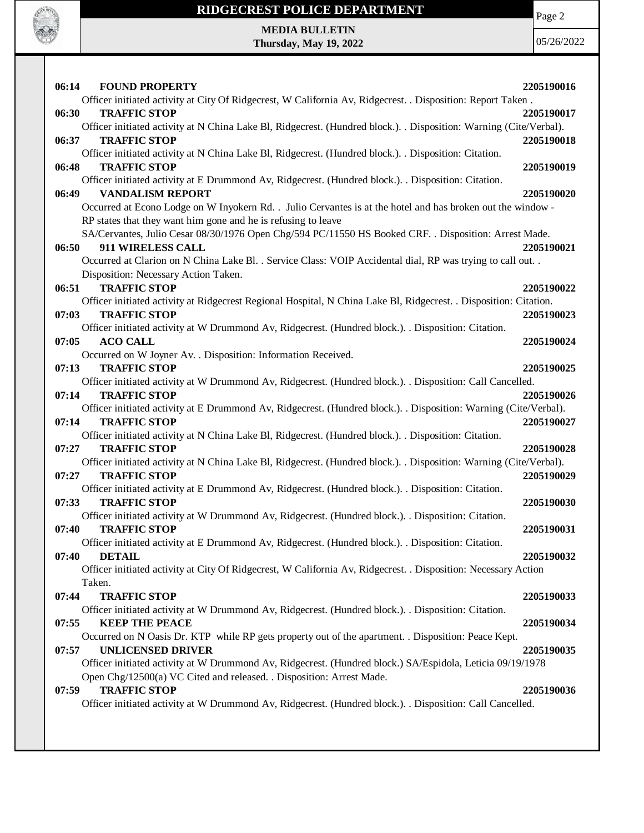

Page 2

**MEDIA BULLETIN Thursday, May 19, 2022**

| 06:14<br><b>FOUND PROPERTY</b>                                                                                     | 2205190016 |
|--------------------------------------------------------------------------------------------------------------------|------------|
| Officer initiated activity at City Of Ridgecrest, W California Av, Ridgecrest. . Disposition: Report Taken.        |            |
| 06:30<br><b>TRAFFIC STOP</b>                                                                                       | 2205190017 |
| Officer initiated activity at N China Lake Bl, Ridgecrest. (Hundred block.). . Disposition: Warning (Cite/Verbal). |            |
| <b>TRAFFIC STOP</b><br>06:37                                                                                       | 2205190018 |
| Officer initiated activity at N China Lake Bl, Ridgecrest. (Hundred block.). . Disposition: Citation.              |            |
| 06:48<br><b>TRAFFIC STOP</b>                                                                                       | 2205190019 |
| Officer initiated activity at E Drummond Av, Ridgecrest. (Hundred block.). Disposition: Citation.                  |            |
| <b>VANDALISM REPORT</b><br>06:49                                                                                   | 2205190020 |
| Occurred at Econo Lodge on W Inyokern Rd. . Julio Cervantes is at the hotel and has broken out the window -        |            |
| RP states that they want him gone and he is refusing to leave                                                      |            |
| SA/Cervantes, Julio Cesar 08/30/1976 Open Chg/594 PC/11550 HS Booked CRF. . Disposition: Arrest Made.              |            |
| 911 WIRELESS CALL<br>06:50                                                                                         | 2205190021 |
| Occurred at Clarion on N China Lake Bl. . Service Class: VOIP Accidental dial, RP was trying to call out. .        |            |
| Disposition: Necessary Action Taken.                                                                               |            |
| <b>TRAFFIC STOP</b><br>06:51                                                                                       | 2205190022 |
| Officer initiated activity at Ridgecrest Regional Hospital, N China Lake Bl, Ridgecrest. . Disposition: Citation.  |            |
| <b>TRAFFIC STOP</b><br>07:03                                                                                       | 2205190023 |
| Officer initiated activity at W Drummond Av, Ridgecrest. (Hundred block.). . Disposition: Citation.                |            |
| 07:05<br><b>ACO CALL</b>                                                                                           | 2205190024 |
| Occurred on W Joyner Av. . Disposition: Information Received.                                                      |            |
| <b>TRAFFIC STOP</b><br>07:13                                                                                       | 2205190025 |
| Officer initiated activity at W Drummond Av, Ridgecrest. (Hundred block.). Disposition: Call Cancelled.            |            |
| <b>TRAFFIC STOP</b><br>07:14                                                                                       | 2205190026 |
| Officer initiated activity at E Drummond Av, Ridgecrest. (Hundred block.). . Disposition: Warning (Cite/Verbal).   |            |
| <b>TRAFFIC STOP</b><br>07:14                                                                                       | 2205190027 |
| Officer initiated activity at N China Lake Bl, Ridgecrest. (Hundred block.). . Disposition: Citation.              |            |
| <b>TRAFFIC STOP</b><br>07:27                                                                                       | 2205190028 |
| Officer initiated activity at N China Lake Bl, Ridgecrest. (Hundred block.). . Disposition: Warning (Cite/Verbal). |            |
| 07:27<br><b>TRAFFIC STOP</b>                                                                                       | 2205190029 |
| Officer initiated activity at E Drummond Av, Ridgecrest. (Hundred block.). Disposition: Citation.                  |            |
| <b>TRAFFIC STOP</b><br>07:33                                                                                       | 2205190030 |
| Officer initiated activity at W Drummond Av, Ridgecrest. (Hundred block.). . Disposition: Citation.                |            |
| <b>TRAFFIC STOP</b><br>07:40                                                                                       | 2205190031 |
| Officer initiated activity at E Drummond Av, Ridgecrest. (Hundred block.). Disposition: Citation.                  |            |
| <b>DETAIL</b><br>07:40                                                                                             | 2205190032 |
| Officer initiated activity at City Of Ridgecrest, W California Av, Ridgecrest. . Disposition: Necessary Action     |            |
| Taken.                                                                                                             |            |
| 07:44<br><b>TRAFFIC STOP</b>                                                                                       | 2205190033 |
| Officer initiated activity at W Drummond Av, Ridgecrest. (Hundred block.). . Disposition: Citation.                |            |
| 07:55<br><b>KEEP THE PEACE</b>                                                                                     | 2205190034 |
| Occurred on N Oasis Dr. KTP while RP gets property out of the apartment. . Disposition: Peace Kept.                |            |
| <b>UNLICENSED DRIVER</b><br>07:57                                                                                  | 2205190035 |
| Officer initiated activity at W Drummond Av, Ridgecrest. (Hundred block.) SA/Espidola, Leticia 09/19/1978          |            |
| Open Chg/12500(a) VC Cited and released. . Disposition: Arrest Made.                                               |            |
| <b>TRAFFIC STOP</b><br>07:59                                                                                       | 2205190036 |
| Officer initiated activity at W Drummond Av, Ridgecrest. (Hundred block.). . Disposition: Call Cancelled.          |            |
|                                                                                                                    |            |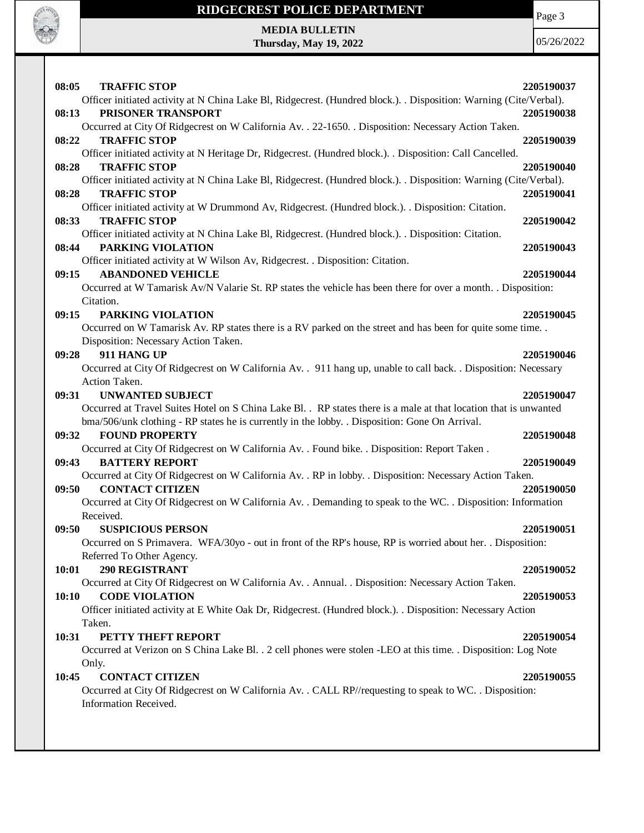

Page 3

| <b>TRAFFIC STOP</b><br>08:05                                                                                       | 2205190037 |
|--------------------------------------------------------------------------------------------------------------------|------------|
| Officer initiated activity at N China Lake Bl, Ridgecrest. (Hundred block.). . Disposition: Warning (Cite/Verbal). |            |
| 08:13<br>PRISONER TRANSPORT                                                                                        | 2205190038 |
| Occurred at City Of Ridgecrest on W California Av. . 22-1650. . Disposition: Necessary Action Taken.               |            |
| 08:22<br><b>TRAFFIC STOP</b>                                                                                       | 2205190039 |
| Officer initiated activity at N Heritage Dr, Ridgecrest. (Hundred block.). . Disposition: Call Cancelled.          |            |
| <b>TRAFFIC STOP</b><br>08:28                                                                                       | 2205190040 |
| Officer initiated activity at N China Lake Bl, Ridgecrest. (Hundred block.). Disposition: Warning (Cite/Verbal).   |            |
| <b>TRAFFIC STOP</b><br>08:28                                                                                       | 2205190041 |
| Officer initiated activity at W Drummond Av, Ridgecrest. (Hundred block.). . Disposition: Citation.                |            |
| 08:33<br><b>TRAFFIC STOP</b>                                                                                       | 2205190042 |
| Officer initiated activity at N China Lake Bl, Ridgecrest. (Hundred block.). Disposition: Citation.                |            |
| PARKING VIOLATION<br>08:44                                                                                         | 2205190043 |
| Officer initiated activity at W Wilson Av, Ridgecrest. . Disposition: Citation.                                    |            |
| <b>ABANDONED VEHICLE</b><br>09:15                                                                                  | 2205190044 |
| Occurred at W Tamarisk Av/N Valarie St. RP states the vehicle has been there for over a month. . Disposition:      |            |
| Citation.                                                                                                          |            |
| 09:15<br>PARKING VIOLATION                                                                                         | 2205190045 |
| Occurred on W Tamarisk Av. RP states there is a RV parked on the street and has been for quite some time.          |            |
| Disposition: Necessary Action Taken.                                                                               |            |
| 911 HANG UP<br>09:28                                                                                               | 2205190046 |
| Occurred at City Of Ridgecrest on W California Av. . 911 hang up, unable to call back. . Disposition: Necessary    |            |
| Action Taken.                                                                                                      |            |
| <b>UNWANTED SUBJECT</b><br>09:31                                                                                   | 2205190047 |
| Occurred at Travel Suites Hotel on S China Lake Bl. . RP states there is a male at that location that is unwanted  |            |
| bma/506/unk clothing - RP states he is currently in the lobby. . Disposition: Gone On Arrival.                     |            |
| <b>FOUND PROPERTY</b><br>09:32                                                                                     | 2205190048 |
| Occurred at City Of Ridgecrest on W California Av. . Found bike. . Disposition: Report Taken.                      |            |
| <b>BATTERY REPORT</b>                                                                                              |            |
| 09:43                                                                                                              | 2205190049 |
| Occurred at City Of Ridgecrest on W California Av. . RP in lobby. . Disposition: Necessary Action Taken.           |            |
| <b>CONTACT CITIZEN</b><br>09:50                                                                                    | 2205190050 |
| Occurred at City Of Ridgecrest on W California Av. . Demanding to speak to the WC. . Disposition: Information      |            |
| Received.                                                                                                          |            |
| <b>SUSPICIOUS PERSON</b><br>09:50                                                                                  | 2205190051 |
| Occurred on S Primavera. WFA/30yo - out in front of the RP's house, RP is worried about her. . Disposition:        |            |
| Referred To Other Agency.                                                                                          |            |
| 290 REGISTRANT<br>10:01                                                                                            | 2205190052 |
| Occurred at City Of Ridgecrest on W California Av. . Annual. . Disposition: Necessary Action Taken.                |            |
| 10:10<br><b>CODE VIOLATION</b>                                                                                     | 2205190053 |
| Officer initiated activity at E White Oak Dr, Ridgecrest. (Hundred block.). . Disposition: Necessary Action        |            |
| Taken.                                                                                                             |            |
| 10:31<br>PETTY THEFT REPORT                                                                                        | 2205190054 |
| Occurred at Verizon on S China Lake Bl. . 2 cell phones were stolen -LEO at this time. . Disposition: Log Note     |            |
| Only.                                                                                                              |            |
| <b>CONTACT CITIZEN</b><br>10:45                                                                                    | 2205190055 |
| Occurred at City Of Ridgecrest on W California Av. . CALL RP//requesting to speak to WC. . Disposition:            |            |
| Information Received.                                                                                              |            |
|                                                                                                                    |            |
|                                                                                                                    |            |
|                                                                                                                    |            |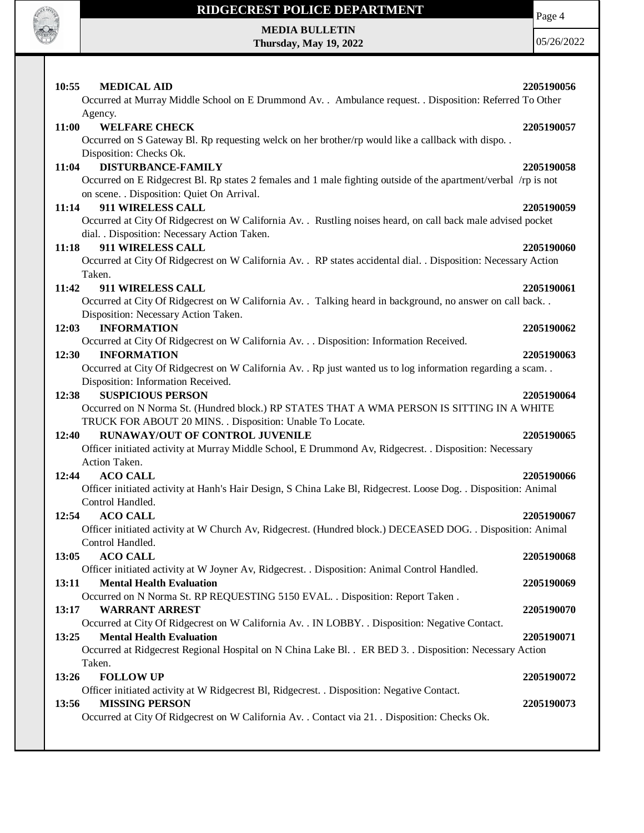

**MEDIA BULLETIN Thursday, May 19, 2022**

05/26/2022

| <b>MEDICAL AID</b><br>10:55                                                                                                               | 2205190056 |
|-------------------------------------------------------------------------------------------------------------------------------------------|------------|
| Occurred at Murray Middle School on E Drummond Av. . Ambulance request. . Disposition: Referred To Other                                  |            |
| Agency.                                                                                                                                   |            |
| 11:00<br><b>WELFARE CHECK</b>                                                                                                             | 2205190057 |
| Occurred on S Gateway Bl. Rp requesting welck on her brother/rp would like a callback with dispo. .                                       |            |
| Disposition: Checks Ok.                                                                                                                   |            |
| <b>DISTURBANCE-FAMILY</b><br>11:04                                                                                                        | 2205190058 |
| Occurred on E Ridgecrest Bl. Rp states 2 females and 1 male fighting outside of the apartment/verbal /rp is not                           |            |
| on scene. . Disposition: Quiet On Arrival.                                                                                                |            |
| 911 WIRELESS CALL<br>11:14                                                                                                                | 2205190059 |
| Occurred at City Of Ridgecrest on W California Av. . Rustling noises heard, on call back male advised pocket                              |            |
| dial. . Disposition: Necessary Action Taken.<br>911 WIRELESS CALL<br>11:18                                                                | 2205190060 |
| Occurred at City Of Ridgecrest on W California Av. . RP states accidental dial. . Disposition: Necessary Action                           |            |
| Taken.                                                                                                                                    |            |
| 911 WIRELESS CALL<br>11:42                                                                                                                | 2205190061 |
| Occurred at City Of Ridgecrest on W California Av. . Talking heard in background, no answer on call back. .                               |            |
| Disposition: Necessary Action Taken.                                                                                                      |            |
| 12:03<br><b>INFORMATION</b>                                                                                                               | 2205190062 |
| Occurred at City Of Ridgecrest on W California Av. Disposition: Information Received.                                                     |            |
| 12:30<br><b>INFORMATION</b>                                                                                                               | 2205190063 |
| Occurred at City Of Ridgecrest on W California Av. . Rp just wanted us to log information regarding a scam. .                             |            |
| Disposition: Information Received.                                                                                                        |            |
| <b>SUSPICIOUS PERSON</b><br>12:38                                                                                                         | 2205190064 |
| Occurred on N Norma St. (Hundred block.) RP STATES THAT A WMA PERSON IS SITTING IN A WHITE                                                |            |
| TRUCK FOR ABOUT 20 MINS. . Disposition: Unable To Locate.                                                                                 |            |
| RUNAWAY/OUT OF CONTROL JUVENILE<br>12:40                                                                                                  | 2205190065 |
| Officer initiated activity at Murray Middle School, E Drummond Av, Ridgecrest. . Disposition: Necessary                                   |            |
| Action Taken.                                                                                                                             |            |
| <b>ACO CALL</b><br>12:44                                                                                                                  | 2205190066 |
| Officer initiated activity at Hanh's Hair Design, S China Lake Bl, Ridgecrest. Loose Dog. . Disposition: Animal                           |            |
| Control Handled.                                                                                                                          |            |
| 12:54<br><b>ACO CALL</b>                                                                                                                  | 2205190067 |
| Officer initiated activity at W Church Av, Ridgecrest. (Hundred block.) DECEASED DOG. . Disposition: Animal                               |            |
| Control Handled.                                                                                                                          |            |
| <b>ACO CALL</b><br>13:05                                                                                                                  | 2205190068 |
| Officer initiated activity at W Joyner Av, Ridgecrest. . Disposition: Animal Control Handled.<br><b>Mental Health Evaluation</b><br>13:11 | 2205190069 |
| Occurred on N Norma St. RP REQUESTING 5150 EVAL. . Disposition: Report Taken.                                                             |            |
| <b>WARRANT ARREST</b><br>13:17                                                                                                            | 2205190070 |
| Occurred at City Of Ridgecrest on W California Av. . IN LOBBY. . Disposition: Negative Contact.                                           |            |
| <b>Mental Health Evaluation</b><br>13:25                                                                                                  | 2205190071 |
| Occurred at Ridgecrest Regional Hospital on N China Lake Bl. . ER BED 3. . Disposition: Necessary Action                                  |            |
| Taken.                                                                                                                                    |            |
| 13:26<br><b>FOLLOW UP</b>                                                                                                                 | 2205190072 |
| Officer initiated activity at W Ridgecrest Bl, Ridgecrest. . Disposition: Negative Contact.                                               |            |
| <b>MISSING PERSON</b><br>13:56                                                                                                            | 2205190073 |
| Occurred at City Of Ridgecrest on W California Av. . Contact via 21. . Disposition: Checks Ok.                                            |            |
|                                                                                                                                           |            |

Page 4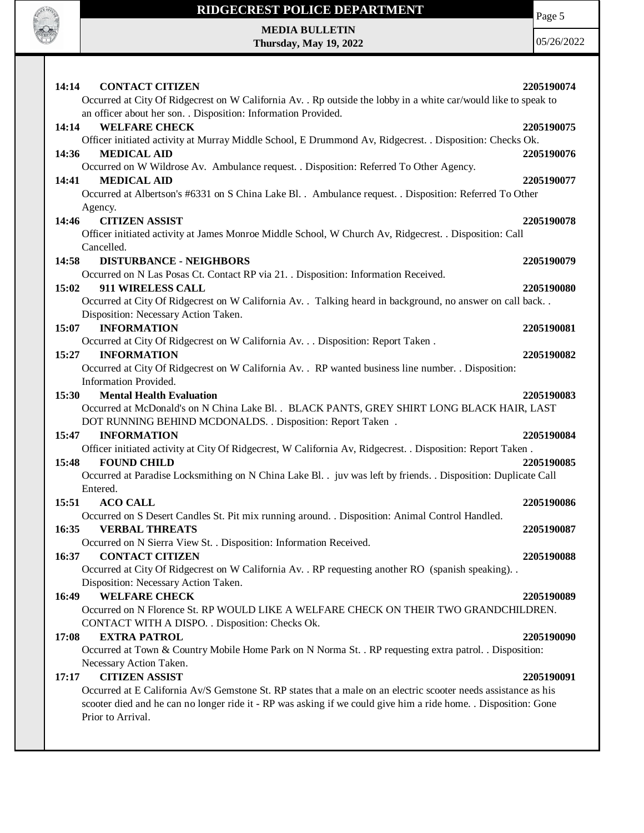

Page 5

**MEDIA BULLETIN Thursday, May 19, 2022**

| 14:14<br><b>CONTACT CITIZEN</b><br>Occurred at City Of Ridgecrest on W California Av. . Rp outside the lobby in a white car/would like to speak to | 2205190074 |
|----------------------------------------------------------------------------------------------------------------------------------------------------|------------|
| an officer about her son. . Disposition: Information Provided.                                                                                     |            |
| 14:14<br><b>WELFARE CHECK</b>                                                                                                                      | 2205190075 |
| Officer initiated activity at Murray Middle School, E Drummond Av, Ridgecrest. . Disposition: Checks Ok.                                           |            |
| <b>MEDICAL AID</b><br>14:36                                                                                                                        | 2205190076 |
| Occurred on W Wildrose Av. Ambulance request. . Disposition: Referred To Other Agency.                                                             |            |
| <b>MEDICAL AID</b><br>14:41                                                                                                                        | 2205190077 |
| Occurred at Albertson's #6331 on S China Lake Bl. . Ambulance request. . Disposition: Referred To Other                                            |            |
| Agency.                                                                                                                                            |            |
| <b>CITIZEN ASSIST</b><br>14:46                                                                                                                     | 2205190078 |
| Officer initiated activity at James Monroe Middle School, W Church Av, Ridgecrest. . Disposition: Call                                             |            |
| Cancelled.                                                                                                                                         |            |
| 14:58<br><b>DISTURBANCE - NEIGHBORS</b>                                                                                                            | 2205190079 |
| Occurred on N Las Posas Ct. Contact RP via 21. . Disposition: Information Received.                                                                |            |
| 15:02<br>911 WIRELESS CALL                                                                                                                         | 2205190080 |
| Occurred at City Of Ridgecrest on W California Av. . Talking heard in background, no answer on call back. .                                        |            |
| Disposition: Necessary Action Taken.                                                                                                               |            |
| <b>INFORMATION</b><br>15:07                                                                                                                        | 2205190081 |
| Occurred at City Of Ridgecrest on W California Av. Disposition: Report Taken .                                                                     |            |
| 15:27<br><b>INFORMATION</b>                                                                                                                        | 2205190082 |
| Occurred at City Of Ridgecrest on W California Av. . RP wanted business line number. . Disposition:                                                |            |
| Information Provided.                                                                                                                              |            |
| 15:30<br><b>Mental Health Evaluation</b>                                                                                                           | 2205190083 |
| Occurred at McDonald's on N China Lake Bl. . BLACK PANTS, GREY SHIRT LONG BLACK HAIR, LAST                                                         |            |
| DOT RUNNING BEHIND MCDONALDS. . Disposition: Report Taken .                                                                                        |            |
| 15:47<br><b>INFORMATION</b>                                                                                                                        | 2205190084 |
| Officer initiated activity at City Of Ridgecrest, W California Av, Ridgecrest. . Disposition: Report Taken.                                        |            |
| 15:48<br><b>FOUND CHILD</b>                                                                                                                        | 2205190085 |
| Occurred at Paradise Locksmithing on N China Lake Bl. . juv was left by friends. . Disposition: Duplicate Call                                     |            |
| Entered.                                                                                                                                           |            |
| 15:51<br><b>ACO CALL</b>                                                                                                                           | 2205190086 |
| Occurred on S Desert Candles St. Pit mix running around. . Disposition: Animal Control Handled.                                                    |            |
| 16:35<br><b>VERBAL THREATS</b>                                                                                                                     | 2205190087 |
| Occurred on N Sierra View St. . Disposition: Information Received.                                                                                 |            |
|                                                                                                                                                    |            |
| <b>CONTACT CITIZEN</b><br>16:37                                                                                                                    | 2205190088 |
| Occurred at City Of Ridgecrest on W California Av. . RP requesting another RO (spanish speaking). .                                                |            |
| Disposition: Necessary Action Taken.                                                                                                               |            |
| <b>WELFARE CHECK</b><br>16:49                                                                                                                      | 2205190089 |
| Occurred on N Florence St. RP WOULD LIKE A WELFARE CHECK ON THEIR TWO GRANDCHILDREN.                                                               |            |
| CONTACT WITH A DISPO. . Disposition: Checks Ok.                                                                                                    |            |
| <b>EXTRA PATROL</b><br>17:08                                                                                                                       | 2205190090 |
| Occurred at Town & Country Mobile Home Park on N Norma St. . RP requesting extra patrol. . Disposition:                                            |            |
| Necessary Action Taken.                                                                                                                            |            |
| 17:17<br><b>CITIZEN ASSIST</b>                                                                                                                     | 2205190091 |
| Occurred at E California Av/S Gemstone St. RP states that a male on an electric scooter needs assistance as his                                    |            |
| scooter died and he can no longer ride it - RP was asking if we could give him a ride home. . Disposition: Gone                                    |            |
| Prior to Arrival.                                                                                                                                  |            |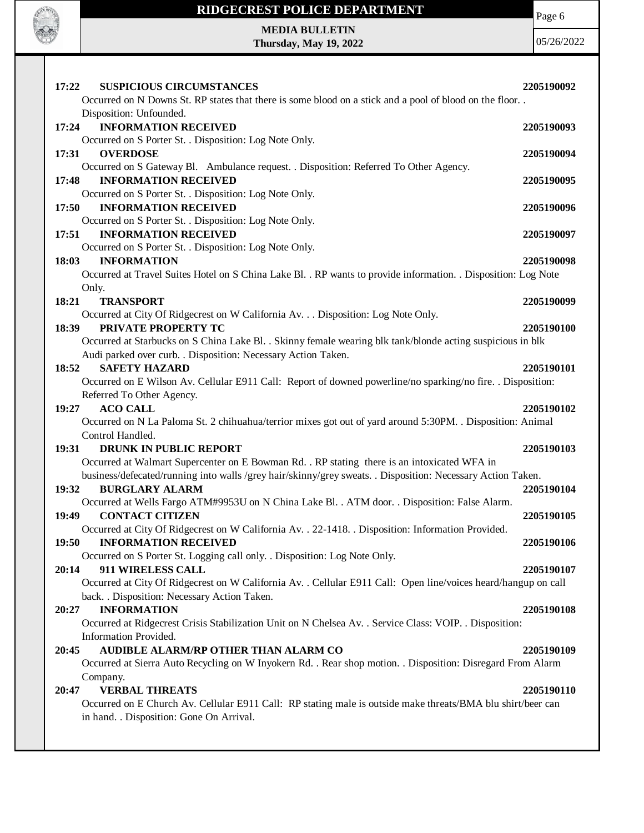|       | RIDGECREST POLICE DEPARTMENT                                                                                                                                                | Page 6     |
|-------|-----------------------------------------------------------------------------------------------------------------------------------------------------------------------------|------------|
|       | <b>MEDIA BULLETIN</b>                                                                                                                                                       |            |
|       | Thursday, May 19, 2022                                                                                                                                                      | 05/26/2022 |
|       |                                                                                                                                                                             |            |
| 17:22 | <b>SUSPICIOUS CIRCUMSTANCES</b><br>Occurred on N Downs St. RP states that there is some blood on a stick and a pool of blood on the floor. .                                | 2205190092 |
|       | Disposition: Unfounded.                                                                                                                                                     |            |
| 17:24 | <b>INFORMATION RECEIVED</b>                                                                                                                                                 | 2205190093 |
|       | Occurred on S Porter St. . Disposition: Log Note Only.                                                                                                                      |            |
| 17:31 | <b>OVERDOSE</b>                                                                                                                                                             | 2205190094 |
|       | Occurred on S Gateway Bl. Ambulance request. . Disposition: Referred To Other Agency.                                                                                       |            |
| 17:48 | <b>INFORMATION RECEIVED</b>                                                                                                                                                 | 2205190095 |
|       | Occurred on S Porter St. . Disposition: Log Note Only.                                                                                                                      |            |
| 17:50 | <b>INFORMATION RECEIVED</b><br>Occurred on S Porter St. . Disposition: Log Note Only.                                                                                       | 2205190096 |
| 17:51 | <b>INFORMATION RECEIVED</b>                                                                                                                                                 | 2205190097 |
|       | Occurred on S Porter St. . Disposition: Log Note Only.                                                                                                                      |            |
| 18:03 | <b>INFORMATION</b>                                                                                                                                                          | 2205190098 |
|       | Occurred at Travel Suites Hotel on S China Lake Bl. . RP wants to provide information. . Disposition: Log Note                                                              |            |
|       | Only.                                                                                                                                                                       |            |
| 18:21 | <b>TRANSPORT</b>                                                                                                                                                            | 2205190099 |
|       | Occurred at City Of Ridgecrest on W California Av. Disposition: Log Note Only.                                                                                              |            |
| 18:39 | PRIVATE PROPERTY TC                                                                                                                                                         | 2205190100 |
|       | Occurred at Starbucks on S China Lake Bl. . Skinny female wearing blk tank/blonde acting suspicious in blk<br>Audi parked over curb. . Disposition: Necessary Action Taken. |            |
| 18:52 | <b>SAFETY HAZARD</b>                                                                                                                                                        | 2205190101 |
|       | Occurred on E Wilson Av. Cellular E911 Call: Report of downed powerline/no sparking/no fire. . Disposition:                                                                 |            |
|       | Referred To Other Agency.                                                                                                                                                   |            |
| 19:27 | <b>ACO CALL</b>                                                                                                                                                             | 2205190102 |
|       | Occurred on N La Paloma St. 2 chihuahua/terrior mixes got out of yard around 5:30PM. . Disposition: Animal                                                                  |            |
|       | Control Handled.                                                                                                                                                            |            |
| 19:31 | <b>DRUNK IN PUBLIC REPORT</b>                                                                                                                                               | 2205190103 |
|       | Occurred at Walmart Supercenter on E Bowman Rd. . RP stating there is an intoxicated WFA in                                                                                 |            |
| 19:32 | business/defecated/running into walls /grey hair/skinny/grey sweats. . Disposition: Necessary Action Taken.<br><b>BURGLARY ALARM</b>                                        | 2205190104 |
|       | Occurred at Wells Fargo ATM#9953U on N China Lake Bl. . ATM door. . Disposition: False Alarm.                                                                               |            |
| 19:49 | <b>CONTACT CITIZEN</b>                                                                                                                                                      | 2205190105 |
|       | Occurred at City Of Ridgecrest on W California Av. . 22-1418. . Disposition: Information Provided.                                                                          |            |
| 19:50 | <b>INFORMATION RECEIVED</b>                                                                                                                                                 | 2205190106 |
|       | Occurred on S Porter St. Logging call only. . Disposition: Log Note Only.                                                                                                   |            |
| 20:14 | 911 WIRELESS CALL                                                                                                                                                           | 2205190107 |
|       | Occurred at City Of Ridgecrest on W California Av. . Cellular E911 Call: Open line/voices heard/hangup on call                                                              |            |
|       | back. . Disposition: Necessary Action Taken.                                                                                                                                |            |
| 20:27 | <b>INFORMATION</b><br>Occurred at Ridgecrest Crisis Stabilization Unit on N Chelsea Av. . Service Class: VOIP. . Disposition:                                               | 2205190108 |
|       | Information Provided.                                                                                                                                                       |            |
| 20:45 | AUDIBLE ALARM/RP OTHER THAN ALARM CO                                                                                                                                        | 2205190109 |
|       | Occurred at Sierra Auto Recycling on W Inyokern Rd. . Rear shop motion. . Disposition: Disregard From Alarm                                                                 |            |
|       | Company.                                                                                                                                                                    |            |
| 20:47 | <b>VERBAL THREATS</b>                                                                                                                                                       | 2205190110 |
|       | Occurred on E Church Av. Cellular E911 Call: RP stating male is outside make threats/BMA blu shirt/beer can                                                                 |            |
|       | in hand. . Disposition: Gone On Arrival.                                                                                                                                    |            |
|       |                                                                                                                                                                             |            |